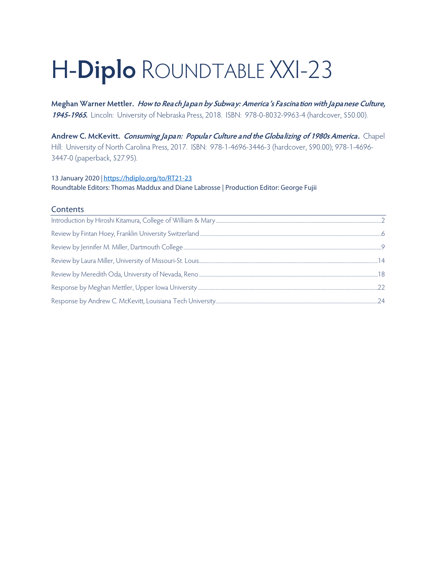# H-**Diplo** ROUNDTABLE XXI-23

**Meghan Warner Mettler. How to Reach Japan by Subway: America's Fascination with Japanese Culture, 1945-1965.** Lincoln: University of Nebraska Press, 2018. ISBN: 978-0-8032-9963-4 (hardcover, \$50.00).

**Andrew C. McKevitt. Consuming Japan: Popular Culture and the Globalizing of 1980s America.** Chapel Hill: University of North Carolina Press, 2017. ISBN: 978-1-4696-3446-3 (hardcover, \$90.00); 978-1-4696- 3447-0 (paperback, \$27.95).

## 13 January 2020 *|* <https://hdiplo.org/to/RT21-23> Roundtable Editors: Thomas Maddux and Diane Labrosse | Production Editor: George Fujii

#### **Contents**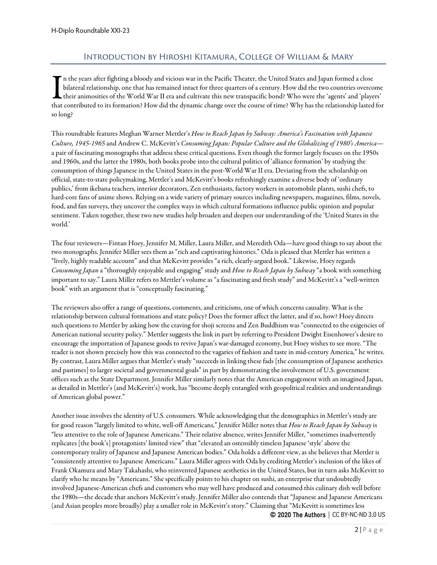### Introduction by Hiroshi Kitamura, College of William & Mary

<span id="page-1-0"></span> $\tilde{\phantom{a}}$ n the years after fighting a bloody and vicious war in the Pacific Theater, the United States and Japan formed a close bilateral relationship, one that has remained intact for three quarters of a century. How did the two countries overcome  $\sf L$  their animosities of the World War II era and cultivate this new transpacific bond? Who were the 'agents' and 'players' In the years after fighting a bloody and vicious war in the Pacific Theater, the United States and Japan formed a close<br>bilateral relationship, one that has remained intact for three quarters of a century. How did the two so long?

This roundtable features Meghan Warner Mettler's *How to Reach Japan by Subway: America's Fascination with Japanese Culture, 1945-1965* and Andrew C. McKevitt's *Consuming Japan: Popular Culture and the Globalizing of 1980's America* a pair of fascinating monographs that address these critical questions. Even though the former largely focuses on the 1950s and 1960s, and the latter the 1980s, both books probe into the cultural politics of 'alliance formation' by studying the consumption of things Japanese in the United States in the post-World War II era. Deviating from the scholarship on official, state-to-state policymaking, Mettler's and McKevitt's books refreshingly examine a diverse body of 'ordinary publics,' from ikebana teachers, interior decorators, Zen enthusiasts, factory workers in automobile plants, sushi chefs, to hard-core fans of anime shows. Relying on a wide variety of primary sources including newspapers, magazines, films, novels, food, and fan surveys, they uncover the complex ways in which cultural formations influence public opinion and popular sentiment. Taken together, these two new studies help broaden and deepen our understanding of the 'United States in the world.'

The four reviewers—Fintan Hoey, Jennifer M. Miller, Laura Miller, and Meredith Oda—have good things to say about the two monographs. Jennifer Miller sees them as "rich and captivating histories." Oda is pleased that Mettler has written a "lively, highly readable account" and that McKevitt provides "a rich, clearly-argued book." Likewise, Hoey regards *Consuming Japan* a "thoroughly enjoyable and engaging" study and *How to Reach Japan by Subway* "a book with something important to say." Laura Miller refers to Mettler's volume as "a fascinating and fresh study" and McKevitt's a "well-written book" with an argument that is "conceptually fascinating."

The reviewers also offer a range of questions, comments, and criticisms, one of which concerns causality. What is the relationship between cultural formations and state policy? Does the former affect the latter, and if so, how? Hoey directs such questions to Mettler by asking how the craving for shoji screens and Zen Buddhism was "connected to the exigencies of American national security policy." Mettler suggests the link in part by referring to President Dwight Eisenhower's desire to encourage the importation of Japanese goods to revive Japan's war-damaged economy, but Hoey wishes to see more. "The reader is not shown precisely how this was connected to the vagaries of fashion and taste in mid-century America," he writes. By contrast, Laura Miller argues that Mettler's study "succeeds in linking these fads [the consumption of Japanese aesthetics and pastimes] to larger societal and governmental goals" in part by demonstrating the involvement of U.S. government offices such as the State Department. Jennifer Miller similarly notes that the American engagement with an imagined Japan, as detailed in Mettler's (and McKevitt's) work, has "become deeply entangled with geopolitical realities and understandings of American global power."

Another issue involves the identity of U.S. consumers. While acknowledging that the demographics in Mettler's study are for good reason "largely limited to white, well-off Americans," Jennifer Miller notes that *How to Reach Japan by Subway* is "less attentive to the role of Japanese Americans." Their relative absence, writes Jennifer Miller, "sometimes inadvertently replicates [the book's] protagonists' limited view" that "elevated an ostensibly timeless Japanese 'style' above the contemporary reality of Japanese and Japanese American bodies." Oda holds a different view, as she believes that Mettler is "consistently attentive to Japanese Americans." Laura Miller agrees with Oda by crediting Mettler's inclusion of the likes of Frank Okamura and Mary Takahashi, who reinvented Japanese aesthetics in the United States, but in turn asks McKevitt to clarify who he means by "Americans." She specifically points to his chapter on sushi, an enterprise that undoubtedly involved Japanese-American chefs and customers who may well have produced and consumed this culinary dish well before the 1980s—the decade that anchors McKevitt's study. Jennifer Miller also contends that "Japanese and Japanese Americans (and Asian peoples more broadly) play a smaller role in McKevitt's story." Claiming that "McKevitt is sometimes less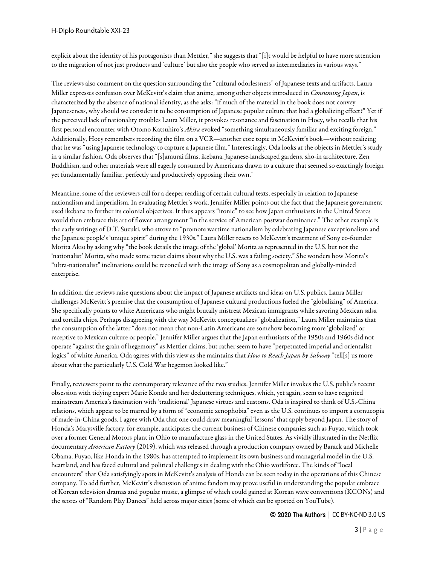explicit about the identity of his protagonists than Mettler," she suggests that "[i]t would be helpful to have more attention to the migration of not just products and 'culture' but also the people who served as intermediaries in various ways."

The reviews also comment on the question surrounding the "cultural odorlessness" of Japanese texts and artifacts. Laura Miller expresses confusion over McKevitt's claim that anime, among other objects introduced in *Consuming Japan*, is characterized by the absence of national identity, as she asks: "if much of the material in the book does not convey Japaneseness, why should we consider it to be consumption of Japanese popular culture that had a globalizing effect?" Yet if the perceived lack of nationality troubles Laura Miller, it provokes resonance and fascination in Hoey, who recalls that his first personal encounter with Ōtomo Katsuhiro's *Akira* evoked "something simultaneously familiar and exciting foreign." Additionally, Hoey remembers recording the film on a VCR—another core topic in McKevitt's book—without realizing that he was "using Japanese technology to capture a Japanese film." Interestingly, Oda looks at the objects in Mettler's study in a similar fashion. Oda observes that "[s]amurai films, ikebana, Japanese-landscaped gardens, sho-in architecture, Zen Buddhism, and other materials were all eagerly consumed by Americans drawn to a culture that seemed so exactingly foreign yet fundamentally familiar, perfectly and productively opposing their own."

Meantime, some of the reviewers call for a deeper reading of certain cultural texts, especially in relation to Japanese nationalism and imperialism. In evaluating Mettler's work, Jennifer Miller points out the fact that the Japanese government used ikebana to further its colonial objectives. It thus appears "ironic" to see how Japan enthusiasts in the United States would then embrace this art of flower arrangement "in the service of American postwar dominance." The other example is the early writings of D.T. Suzuki, who strove to "promote wartime nationalism by celebrating Japanese exceptionalism and the Japanese people's 'unique spirit" during the 1930s." Laura Miller reacts to McKevitt's treatment of Sony co-founder Morita Akio by asking why "the book details the image of the 'global' Morita as represented in the U.S. but not the 'nationalist' Morita, who made some racist claims about why the U.S. was a failing society." She wonders how Morita's "ultra-nationalist" inclinations could be reconciled with the image of Sony as a cosmopolitan and globally-minded enterprise.

In addition, the reviews raise questions about the impact of Japanese artifacts and ideas on U.S. publics. Laura Miller challenges McKevitt's premise that the consumption of Japanese cultural productions fueled the "globalizing" of America. She specifically points to white Americans who might brutally mistreat Mexican immigrants while savoring Mexican salsa and tortilla chips. Perhaps disagreeing with the way McKevitt conceptualizes "globalization," Laura Miller maintains that the consumption of the latter "does not mean that non-Latin Americans are somehow becoming more 'globalized' or receptive to Mexican culture or people." Jennifer Miller argues that the Japan enthusiasts of the 1950s and 1960s did not operate "against the grain of hegemony" as Mettler claims, but rather seem to have "perpetuated imperial and orientalist logics" of white America. Oda agrees with this view as she maintains that *How to Reach Japan by Subway* "tell[s] us more about what the particularly U.S. Cold War hegemon looked like."

Finally, reviewers point to the contemporary relevance of the two studies. Jennifer Miller invokes the U.S. public's recent obsession with tidying expert Marie Kondo and her decluttering techniques, which, yet again, seem to have reignited mainstream America's fascination with 'traditional' Japanese virtues and customs. Oda is inspired to think of U.S.-China relations, which appear to be marred by a form of "economic xenophobia" even as the U.S. continues to import a cornucopia of made-in-China goods. I agree with Oda that one could draw meaningful 'lessons' that apply beyond Japan. The story of Honda's Marysville factory, for example, anticipates the current business of Chinese companies such as Fuyao, which took over a former General Motors plant in Ohio to manufacture glass in the United States. As vividly illustrated in the Netflix documentary *American Factory* (2019), which was released through a production company owned by Barack and Michelle Obama, Fuyao, like Honda in the 1980s, has attempted to implement its own business and managerial model in the U.S. heartland, and has faced cultural and political challenges in dealing with the Ohio workforce. The kinds of "local encounters" that Oda satisfyingly spots in McKevitt's analysis of Honda can be seen today in the operations of this Chinese company. To add further, McKevitt's discussion of anime fandom may prove useful in understanding the popular embrace of Korean television dramas and popular music, a glimpse of which could gained at Korean wave conventions (KCONs) and the scores of "Random Play Dances" held across major cities (some of which can be spotted on YouTube).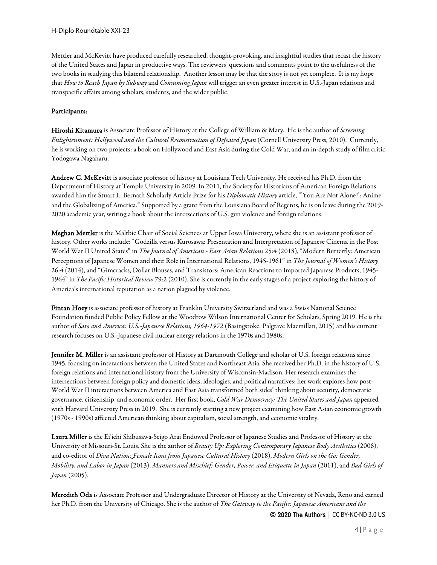Mettler and McKevitt have produced carefully researched, thought-provoking, and insightful studies that recast the history of the United States and Japan in productive ways. The reviewers' questions and comments point to the usefulness of the two books in studying this bilateral relationship. Another lesson may be that the story is not yet complete. It is my hope that *How to Reach Japan by Subway* and *Consuming Japan* will trigger an even greater interest in U.S.-Japan relations and transpacific affairs among scholars, students, and the wider public.

#### Participants:

Hiroshi Kitamura is Associate Professor of History at the College of William & Mary. He is the author of *Screening Enlightenment: Hollywood and the Cultural Reconstruction of Defeated Japan* (Cornell University Press, 2010). Currently, he is working on two projects: a book on Hollywood and East Asia during the Cold War, and an in-depth study of film critic Yodogawa Nagaharu.

Andrew C. McKevitt is associate professor of history at Louisiana Tech University. He received his Ph.D. from the Department of History at Temple University in 2009. In 2011, the Society for Historians of American Foreign Relations awarded him the Stuart L. Bernath Scholarly Article Prize for his *Diplomatic History* article, "'You Are Not Alone!': Anime and the Globalizing of America." Supported by a grant from the Louisiana Board of Regents, he is on leave during the 2019- 2020 academic year, writing a book about the intersections of U.S. gun violence and foreign relations.

Meghan Mettler is the Maltbie Chair of Social Sciences at Upper Iowa University, where she is an assistant professor of history. Other works include: "Godzilla versus Kurosawa: Presentation and Interpretation of Japanese Cinema in the Post World War II United States" in *The Journal of American - East Asian Relations* 25:4 (2018), "Modern Butterfly: American Perceptions of Japanese Women and their Role in International Relations, 1945-1961" in *The Journal of Women's History* 26:4 (2014), and "Gimcracks, Dollar Blouses, and Transistors: American Reactions to Imported Japanese Products, 1945- 1964" in *The Pacific Historical Review* 79:2 (2010). She is currently in the early stages of a project exploring the history of America's international reputation as a nation plagued by violence.

Fintan Hoey is associate professor of history at Franklin University Switzerland and was a Swiss National Science Foundation funded Public Policy Fellow at the Woodrow Wilson International Center for Scholars, Spring 2019. He is the author of *Sato and America: U.S.-Japanese Relations, 1964-1972* (Basingstoke: Palgrave Macmillan, 2015) and his current research focuses on U.S.-Japanese civil nuclear energy relations in the 1970s and 1980s.

Jennifer M. Miller is an assistant professor of History at Dartmouth College and scholar of U.S. foreign relations since 1945, focusing on interactions between the United States and Northeast Asia. She received her Ph.D. in the history of U.S. foreign relations and international history from the University of Wisconsin-Madison. Her research examines the intersections between foreign policy and domestic ideas, ideologies, and political narratives; her work explores how post-World War II interactions between America and East Asia transformed both sides' thinking about security, democratic governance, citizenship, and economic order. Her first book, *Cold War Democracy: The United States and Japan* appeared with Harvard University Press in 2019. She is currently starting a new project examining how East Asian economic growth (1970s - 1990s) affected American thinking about capitalism, social strength, and economic vitality.

Laura Miller is the Ei'ichi Shibusawa-Seigo Arai Endowed Professor of Japanese Studies and Professor of History at the University of Missouri-St. Louis. She is the author of *Beauty Up: Exploring Contemporary Japanese Body Aesthetics* (2006), and co-editor of *Diva Nation: Female Icons from Japanese Cultural History* (2018), *Modern Girls on the Go: Gender, Mobility, and Labor in Japan* (2013), *Manners and Mischief: Gender, Power, and Etiquette in Japan* (2011), and *Bad Girls of Japan* (2005).

Meredith Oda is Associate Professor and Undergraduate Director of History at the University of Nevada, Reno and earned her Ph.D. from the University of Chicago. She is the author of *The Gateway to the Pacific: Japanese Americans and the*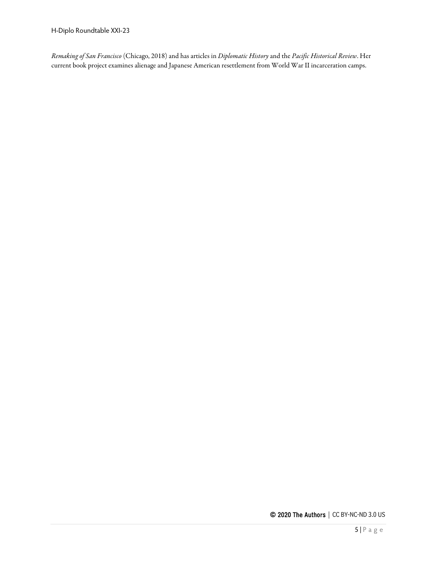*Remaking of San Francisco* (Chicago, 2018) and has articles in *Diplomatic History* and the *Pacific Historical Review*. Her current book project examines alienage and Japanese American resettlement from World War II incarceration camps.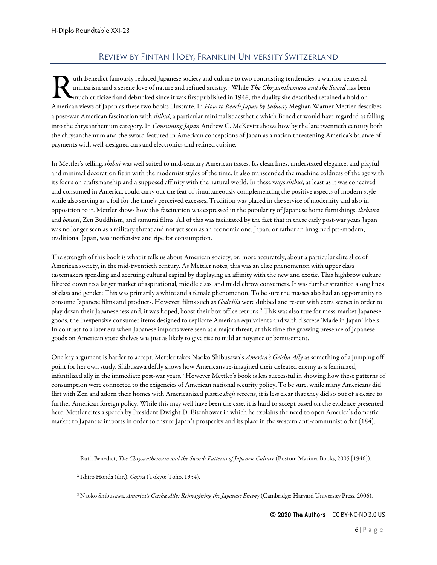# Review by Fintan Hoey, Franklin University Switzerland

<span id="page-5-0"></span>uth Benedict famously reduced Japanese society and culture to two contrasting tendencies; a warrior-centered militarism and a serene love of nature and refined artistry.[1](#page-5-1) While *The Chrysanthemum and the Sword* has been much criticized and debunked since it was first published in 1946, the duality she described retained a hold on The Benedict famously reduced Japanese society and culture to two contrasting tendencies; a warrior-centered militarism and a serene love of nature and refined artistry.<sup>1</sup> While *The Chrysanthemum and the Sword* has been a post-war American fascination with *shibui*, a particular minimalist aesthetic which Benedict would have regarded as falling into the chrysanthemum category. In *Consuming Japan* Andrew C. McKevitt shows how by the late twentieth century both the chrysanthemum and the sword featured in American conceptions of Japan as a nation threatening America's balance of payments with well-designed cars and electronics and refined cuisine.

In Mettler's telling, *shibui* was well suited to mid-century American tastes. Its clean lines, understated elegance, and playful and minimal decoration fit in with the modernist styles of the time. It also transcended the machine coldness of the age with its focus on craftsmanship and a supposed affinity with the natural world. In these ways *shibui*, at least as it was conceived and consumed in America, could carry out the feat of simultaneously complementing the positive aspects of modern style while also serving as a foil for the time's perceived excesses. Tradition was placed in the service of modernity and also in opposition to it. Mettler shows how this fascination was expressed in the popularity of Japanese home furnishings, *ikebana*  and *bonsai*, Zen Buddhism, and samurai films. All of this was facilitated by the fact that in these early post-war years Japan was no longer seen as a military threat and not yet seen as an economic one. Japan, or rather an imagined pre-modern, traditional Japan, was inoffensive and ripe for consumption.

The strength of this book is what it tells us about American society, or, more accurately, about a particular elite slice of American society, in the mid-twentieth century. As Mettler notes, this was an elite phenomenon with upper class tastemakers spending and accruing cultural capital by displaying an affinity with the new and exotic. This highbrow culture filtered down to a larger market of aspirational, middle class, and middlebrow consumers. It was further stratified along lines of class and gender: This was primarily a white and a female phenomenon. To be sure the masses also had an opportunity to consume Japanese films and products. However, films such as *Godzilla* were dubbed and re-cut with extra scenes in order to play down their Japaneseness and, it was hoped, boost their box office returns.[2](#page-5-2) This was also true for mass-market Japanese goods, the inexpensive consumer items designed to replicate American equivalents and with discrete 'Made in Japan' labels. In contrast to a later era when Japanese imports were seen as a major threat, at this time the growing presence of Japanese goods on American store shelves was just as likely to give rise to mild annoyance or bemusement.

One key argument is harder to accept. Mettler takes Naoko Shibusawa's *America's Geisha Ally* as something of a jumping off point for her own study. Shibusawa deftly shows how Americans re-imagined their defeated enemy as a feminized, infantilized ally in the immediate post-war years.[3](#page-5-3) However Mettler's book is less successful in showing how these patterns of consumption were connected to the exigencies of American national security policy. To be sure, while many Americans did flirt with Zen and adorn their homes with Americanized plastic *shoji* screens, it is less clear that they did so out of a desire to further American foreign policy. While this may well have been the case, it is hard to accept based on the evidence presented here. Mettler cites a speech by President Dwight D. Eisenhower in which he explains the need to open America's domestic market to Japanese imports in order to ensure Japan's prosperity and its place in the western anti-communist orbit (184).

<span id="page-5-1"></span><sup>1</sup> Ruth Benedict, *The Chrysanthemum and the Sword: Patterns of Japanese Culture* (Boston: Mariner Books, 2005 [1946]).

<span id="page-5-2"></span><sup>2</sup> Ishiro Honda (dir.), *Gojira* (Tokyo: Toho, 1954).

<span id="page-5-3"></span><sup>3</sup> Naoko Shibusawa, *America's Geisha Ally: Reimagining the Japanese Enemy* (Cambridge: Harvard University Press, 2006).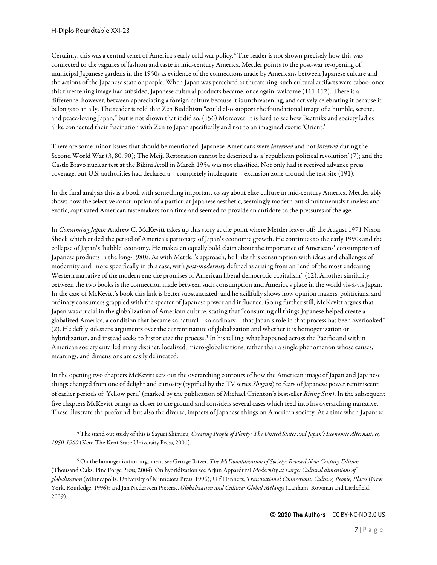Certainly, this was a central tenet of America's early cold war policy.[4](#page-6-0) The reader is not shown precisely how this was connected to the vagaries of fashion and taste in mid-century America. Mettler points to the post-war re-opening of municipal Japanese gardens in the 1950s as evidence of the connections made by Americans between Japanese culture and the actions of the Japanese state or people. When Japan was perceived as threatening, such cultural artifacts were taboo; once this threatening image had subsided, Japanese cultural products became, once again, welcome (111-112). There is a difference, however, between appreciating a foreign culture because it is unthreatening, and actively celebrating it because it belongs to an ally. The reader is told that Zen Buddhism "could also support the foundational image of a humble, serene, and peace-loving Japan," but is not shown that it did so. (156) Moreover, it is hard to see how Beatniks and society ladies alike connected their fascination with Zen to Japan specifically and not to an imagined exotic 'Orient.'

There are some minor issues that should be mentioned: Japanese-Americans were *interned* and not *interred* during the Second World War (3, 80, 90); The Meiji Restoration cannot be described as a 'republican political revolution' (7); and the Castle Bravo nuclear test at the Bikini Atoll in March 1954 was not classified. Not only had it received advance press coverage, but U.S. authorities had declared a—completely inadequate—exclusion zone around the test site (191).

In the final analysis this is a book with something important to say about elite culture in mid-century America. Mettler ably shows how the selective consumption of a particular Japanese aesthetic, seemingly modern but simultaneously timeless and exotic, captivated American tastemakers for a time and seemed to provide an antidote to the pressures of the age.

In *Consuming Japan* Andrew C. McKevitt takes up this story at the point where Mettler leaves off; the August 1971 Nixon Shock which ended the period of America's patronage of Japan's economic growth. He continues to the early 1990s and the collapse of Japan's 'bubble' economy. He makes an equally bold claim about the importance of Americans' consumption of Japanese products in the long-1980s. As with Mettler's approach, he links this consumption with ideas and challenges of modernity and, more specifically in this case, with *post-modernity* defined as arising from an "end of the most endearing Western narrative of the modern era: the promises of American liberal democratic capitalism" (12). Another similarity between the two books is the connection made between such consumption and America's place in the world vis-à-vis Japan. In the case of McKevitt's book this link is better substantiated, and he skillfully shows how opinion makers, politicians, and ordinary consumers grappled with the specter of Japanese power and influence. Going further still, McKevitt argues that Japan was crucial in the globalization of American culture, stating that "consuming all things Japanese helped create a globalized America, a condition that became so natural—so ordinary—that Japan's role in that process has been overlooked" (2). He deftly sidesteps arguments over the current nature of globalization and whether it is homogenization or hybridization, and instead seeks to historicize the process.<sup>[5](#page-6-1)</sup> In his telling, what happened across the Pacific and within American society entailed many distinct, localized, micro-globalizations, rather than a single phenomenon whose causes, meanings, and dimensions are easily delineated.

In the opening two chapters McKevitt sets out the overarching contours of how the American image of Japan and Japanese things changed from one of delight and curiosity (typified by the TV series *Shogun*) to fears of Japanese power reminiscent of earlier periods of 'Yellow peril' (marked by the publication of Michael Crichton's bestseller *Rising Sun*). In the subsequent five chapters McKevitt brings us closer to the ground and considers several cases which feed into his overarching narrative. These illustrate the profound, but also the diverse, impacts of Japanese things on American society. At a time when Japanese

<span id="page-6-0"></span><sup>4</sup> The stand out study of this is Sayuri Shimizu, *Creating People of Plenty: The United States and Japan's Economic Alternatives, 1950-1960* (Ken: The Kent State University Press, 2001).

<span id="page-6-1"></span><sup>5</sup> On the homogenization argument see George Ritzer, *The McDonaldization of Society: Revised New Century Edition* (Thousand Oaks: Pine Forge Press, 2004). On hybridization see Arjun Appardurai *Modernity at Large: Cultural dimensions of globalization* (Minneapolis: University of Minnesota Press, 1996); Ulf Hannerz, *Transnational Connections: Culture, People, Places* (New York, Routledge, 1996); and Jan Nederveen Pieterse, *Globalization and Culture: Global Mélange* (Lanham: Rowman and Littlefield, 2009).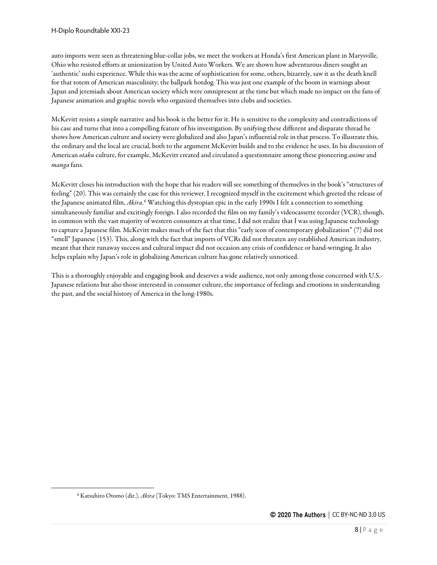auto imports were seen as threatening blue-collar jobs, we meet the workers at Honda's first American plant in Marysville, Ohio who resisted efforts at unionization by United Auto Workers. We are shown how adventurous diners sought an 'authentic' sushi experience. While this was the acme of sophistication for some, others, bizarrely, saw it as the death knell for that totem of American masculinity; the ballpark hotdog. This was just one example of the boom in warnings about Japan and jeremiads about American society which were omnipresent at the time but which made no impact on the fans of Japanese animation and graphic novels who organized themselves into clubs and societies.

McKevitt resists a simple narrative and his book is the better for it. He is sensitive to the complexity and contradictions of his case and turns that into a compelling feature of his investigation. By unifying these different and disparate thread he shows how American culture and society were globalized and also Japan's influential role in that process. To illustrate this, the ordinary and the local are crucial, both to the argument McKevitt builds and to the evidence he uses. In his discussion of American *otaku* culture, for example, McKevitt created and circulated a questionnaire among these pioneering *anime* and *manga* fans.

McKevitt closes his introduction with the hope that his readers will see something of themselves in the book's "structures of feeling" (20). This was certainly the case for this reviewer. I recognized myself in the excitement which greeted the release of the Japanese animated film, *Akira*.<sup>[6](#page-7-0)</sup> Watching this dystopian epic in the early 1990s I felt a connection to something simultaneously familiar and excitingly foreign. I also recorded the film on my family's videocassette recorder (VCR), though, in common with the vast majority of western consumers at that time, I did not realize that I was using Japanese technology to capture a Japanese film. McKevitt makes much of the fact that this "early icon of contemporary globalization" (7) did not "smell" Japanese (153). This, along with the fact that imports of VCRs did not threaten any established American industry, meant that their runaway success and cultural impact did not occasion any crisis of confidence or hand-wringing. It also helps explain why Japan's role in globalizing American culture has gone relatively unnoticed.

This is a thoroughly enjoyable and engaging book and deserves a wide audience, not only among those concerned with U.S.- Japanese relations but also those interested in consumer culture, the importance of feelings and emotions in understanding the past, and the social history of America in the long-1980s.

<span id="page-7-0"></span><sup>6</sup> Katsuhiro Otomo (dir.), *Akira* (Tokyo: TMS Entertainment, 1988).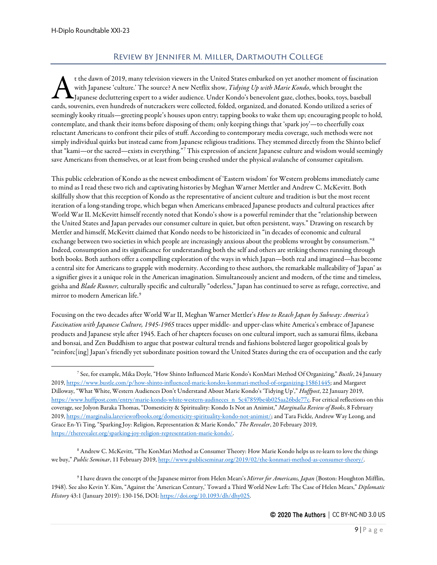# Review by Jennifer M. Miller, Dartmouth College

<span id="page-8-0"></span>t the dawn of 2019, many television viewers in the United States embarked on yet another moment of fascination with Japanese 'culture.' The source? A new Netflix show, *Tidying Up with Marie Kondo*, which brought the Japanese decluttering expert to a wider audience. Under Kondo's benevolent gaze, clothes, books, toys, baseball t the dawn of 2019, many television viewers in the United States embarked on yet another moment of fascination<br>with Japanese 'culture.' The source? A new Netflix show, *Tidying Up with Marie Kondo*, which brought the<br>cards seemingly kooky rituals—greeting people's houses upon entry; tapping books to wake them up; encouraging people to hold, contemplate, and thank their items before disposing of them; only keeping things that 'spark joy'—to cheerfully coax reluctant Americans to confront their piles of stuff. According to contemporary media coverage, such methods were not simply individual quirks but instead came from Japanese religious traditions. They stemmed directly from the Shinto belief that "kami—or the sacred—exists in everything."[7](#page-8-1) This expression of ancient Japanese culture and wisdom would seemingly save Americans from themselves, or at least from being crushed under the physical avalanche of consumer capitalism.

This public celebration of Kondo as the newest embodiment of 'Eastern wisdom' for Western problems immediately came to mind as I read these two rich and captivating histories by Meghan Warner Mettler and Andrew C. McKevitt. Both skillfully show that this reception of Kondo as the representative of ancient culture and tradition is but the most recent iteration of a long-standing trope, which began when Americans embraced Japanese products and cultural practices after World War II. McKevitt himself recently noted that Kondo's show is a powerful reminder that the "relationship between the United States and Japan pervades our consumer culture in quiet, but often persistent, ways." Drawing on research by Mettler and himself, McKevitt claimed that Kondo needs to be historicized in "in decades of economic and cultural exchange between two societies in which people are increasingly anxious about the problems wrought by consumerism."[8](#page-8-2) Indeed, consumption and its significance for understanding both the self and others are striking themes running through both books. Both authors offer a compelling exploration of the ways in which Japan—both real and imagined—has become a central site for Americans to grapple with modernity. According to these authors, the remarkable malleability of 'Japan' as a signifier gives it a unique role in the American imagination. Simultaneously ancient and modern, of the time and timeless, geisha and *Blade Runner,* culturally specific and culturally "oderless," Japan has continued to serve as refuge, corrective, and mirror to modern American life.<sup>[9](#page-8-3)</sup>

Focusing on the two decades after World War II, Meghan Warner Mettler's *How to Reach Japan by Subway: America's Fascination with Japanese Culture, 1945-1965* traces upper middle- and upper-class white America's embrace of Japanese products and Japanese style after 1945. Each of her chapters focuses on one cultural import, such as samurai films, ikebana and bonsai, and Zen Buddhism to argue that postwar cultural trends and fashions bolstered larger geopolitical goals by "reinforc[ing] Japan's friendly yet subordinate position toward the United States during the era of occupation and the early

<span id="page-8-2"></span><sup>8</sup> Andrew C. McKevitt, "The KonMari Method as Consumer Theory: How Marie Kondo helps us re-learn to love the things we buy," *Public Seminar*, 11 February 2019[, http://www.publicseminar.org/2019/02/the-konmari-method-as-consumer-theory/.](http://www.publicseminar.org/2019/02/the-konmari-method-as-consumer-theory/)

<span id="page-8-1"></span><sup>7</sup> See, for example, Mika Doyle, "How Shinto Influenced Marie Kondo's KonMari Method Of Organizing," *Bustle*, 24 January 2019[, https://www.bustle.com/p/how-shinto-influenced-marie-kondos-konmari-method-of-organizing-15861445;](https://www.bustle.com/p/how-shinto-influenced-marie-kondos-konmari-method-of-organizing-15861445) and Margaret Dilloway, "What White, Western Audiences Don't Understand About Marie Kondo's 'Tidying Up'," *Huffpost*, 22 January 2019, [https://www.huffpost.com/entry/marie-kondo-white-western-audineces\\_n\\_5c47859be4b025aa26bde77c.](https://www.huffpost.com/entry/marie-kondo-white-western-audineces_n_5c47859be4b025aa26bde77c) For critical reflections on this coverage, see Jolyon Baraka Thomas, "Domesticity & Spirituality: Kondo Is Not an Animist," *Marginalia Review of Books*, 8 February 2019[, https://marginalia.lareviewofbooks.org/domesticity-spirituality-kondo-not-animist/;](https://marginalia.lareviewofbooks.org/domesticity-spirituality-kondo-not-animist/) and Tara Fickle, Andrew Way Leong, and Grace En-Yi Ting, "Sparking Joy: Religion, Representation & Marie Kondo," *The Revealer*, 20 February 2019, [https://therevealer.org/sparking-joy-religion-representation-marie-kondo/.](https://therevealer.org/sparking-joy-religion-representation-marie-kondo/) 

<span id="page-8-3"></span><sup>9</sup> I have drawn the concept of the Japanese mirror from Helen Mears's *Mirror for Americans, Japan* (Boston: Houghton Mifflin, 1948). See also Kevin Y. Kim, "Against the 'American Century,' Toward a Third World New Left: The Case of Helen Mears," *Diplomatic History* 43:1 (January 2019): 130-156, DOI[: https://doi.org/10.1093/dh/dhy025.](https://doi.org/10.1093/dh/dhy025)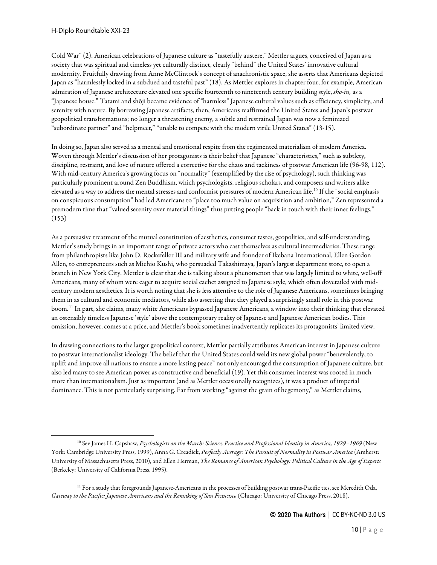Cold War" (2). American celebrations of Japanese culture as "tastefully austere," Mettler argues, conceived of Japan as a society that was spiritual and timeless yet culturally distinct, clearly "behind" the United States' innovative cultural modernity. Fruitfully drawing from Anne McClintock's concept of anachronistic space, she asserts that Americans depicted Japan as "harmlessly locked in a subdued and tasteful past" (18). As Mettler explores in chapter four, for example, American admiration of Japanese architecture elevated one specific fourteenth tonineteenth century building style, *sho-in,* as a "Japanese house." Tatami and shōji became evidence of "harmless" Japanese cultural values such as efficiency, simplicity, and serenity with nature. By borrowing Japanese artifacts, then, Americans reaffirmed the United States and Japan's postwar geopolitical transformations; no longer a threatening enemy, a subtle and restrained Japan was now a feminized "subordinate partner" and "helpmeet," "unable to compete with the modern virile United States" (13-15).

In doing so, Japan also served as a mental and emotional respite from the regimented materialism of modern America. Woven through Mettler's discussion of her protagonists is their belief that Japanese "characteristics," such as subtlety, discipline, restraint, and love of nature offered a corrective for the chaos and tackiness of postwar American life (96-98, 112). With mid-century America's growing focus on "normality" (exemplified by the rise of psychology), such thinking was particularly prominent around Zen Buddhism, which psychologists, religious scholars, and composers and writers alike elevated as a way to address the mental stresses and conformist pressures of modern American life.[10](#page-9-0) If the "social emphasis on conspicuous consumption" had led Americans to "place too much value on acquisition and ambition," Zen represented a premodern time that "valued serenity over material things" thus putting people "back in touch with their inner feelings." (153)

As a persuasive treatment of the mutual constitution of aesthetics, consumer tastes, geopolitics, and self-understanding, Mettler's study brings in an important range of private actors who cast themselves as cultural intermediaries. These range from philanthropists like John D. Rockefeller III and military wife and founder of Ikebana International, Ellen Gordon Allen, to entrepreneurs such as Michio Kushi, who persuaded Takashimaya, Japan's largest department store, to open a branch in New York City. Mettler is clear that she is talking about a phenomenon that was largely limited to white, well-off Americans, many of whom were eager to acquire social cachet assigned to Japanese style, which often dovetailed with midcentury modern aesthetics. It is worth noting that she is less attentive to the role of Japanese Americans, sometimes bringing them in as cultural and economic mediators, while also asserting that they played a surprisingly small role in this postwar boom.[11](#page-9-1) In part, she claims, many white Americans bypassed Japanese Americans, a window into their thinking that elevated an ostensibly timeless Japanese 'style' above the contemporary reality of Japanese and Japanese American bodies. This omission, however, comes at a price, and Mettler's book sometimes inadvertently replicates its protagonists' limited view.

In drawing connections to the larger geopolitical context, Mettler partially attributes American interest in Japanese culture to postwar internationalist ideology. The belief that the United States could weld its new global power "benevolently, to uplift and improve all nations to ensure a more lasting peace" not only encouraged the consumption of Japanese culture, but also led many to see American power as constructive and beneficial (19). Yet this consumer interest was rooted in much more than internationalism. Just as important (and as Mettler occasionally recognizes), it was a product of imperial dominance. This is not particularly surprising. Far from working "against the grain of hegemony," as Mettler claims,

<span id="page-9-0"></span><sup>10</sup> See James H. Capshaw, *Psychologists on the March: Science, Practice and Professional Identity in America, 1929–1969* (New York: Cambridge University Press, 1999), Anna G. Creadick, *Perfectly Average: The Pursuit of Normality in Postwar America* (Amherst: University of Massachusetts Press, 2010), and Ellen Herman, *The Romance of American Psychology: Political Culture in the Age of Experts* (Berkeley: University of California Press, 1995).

<span id="page-9-1"></span><sup>&</sup>lt;sup>11</sup> For a study that foregrounds Japanese-Americans in the processes of building postwar trans-Pacific ties, see Meredith Oda, *Gateway to the Pacific: Japanese Americans and the Remaking of San Francisco* (Chicago: University of Chicago Press, 2018).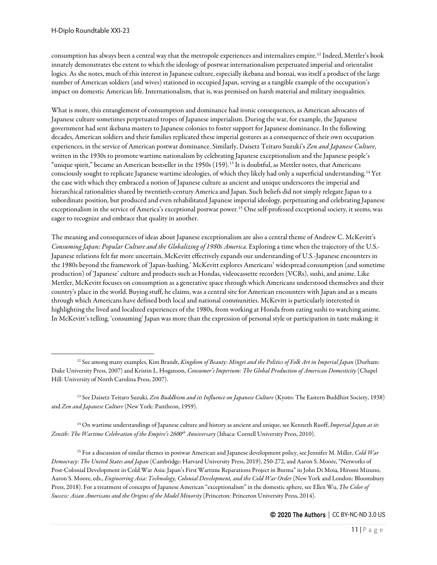consumption has always been a central way that the metropole experiences and internalizes empire.[12](#page-10-0) Indeed, Mettler's book innately demonstrates the extent to which the ideology of postwar internationalism perpetuated imperial and orientalist logics. As she notes, much of this interest in Japanese culture, especially ikebana and bonsai, was itself a product of the large number of American soldiers (and wives) stationed in occupied Japan, serving as a tangible example of the occupation's impact on domestic American life. Internationalism, that is, was premised on harsh material and military inequalities.

What is more, this entanglement of consumption and dominance had ironic consequences, as American advocates of Japanese culture sometimes perpetuated tropes of Japanese imperialism. During the war, for example, the Japanese government had sent ikebana masters to Japanese colonies to foster support for Japanese dominance. In the following decades, American soldiers and their families replicated these imperial gestures as a consequence of their own occupation experiences, in the service of American postwar dominance. Similarly, Daisetz Teitaro Suzuki's *Zen and Japanese Culture*, written in the 1930s to promote wartime nationalism by celebrating Japanese exceptionalism and the Japanese people's "unique spirit," became an American bestseller in the 1950s (159).<sup>[13](#page-10-1)</sup> It is doubtful, as Mettler notes, that Americans consciously sought to replicate Japanese wartime ideologies, of which they likely had only a superficial understanding.[14](#page-10-2) Yet the ease with which they embraced a notion of Japanese culture as ancient and unique underscores the imperial and hierarchical rationalities shared by twentieth-century America and Japan. Such beliefs did not simply relegate Japan to a subordinate position, but produced and even rehabilitated Japanese imperial ideology, perpetuating and celebrating Japanese exceptionalism in the service of America's exceptional postwar power.<sup>[15](#page-10-3)</sup> One self-professed exceptional society, it seems, was eager to recognize and embrace that quality in another.

The meaning and consequences of ideas about Japanese exceptionalism are also a central theme of Andrew C. McKevitt's *Consuming Japan: Popular Culture and the Globalizing of 1980s America*. Exploring a time when the trajectory of the U.S.- Japanese relations felt far more uncertain, McKevitt effectively expands our understanding of U.S.-Japanese encounters in the 1980s beyond the framework of 'Japan-bashing.' McKevitt explores Americans' widespread consumption (and sometime production) of 'Japanese' culture and products such as Hondas, videocassette recorders (VCRs), sushi, and anime. Like Mettler, McKevitt focuses on consumption as a generative space through which Americans understood themselves and their country's place in the world. Buying stuff, he claims, was a central site for American encounters with Japan and as a means through which Americans have defined both local and national communities. McKevitt is particularly interested in highlighting the lived and localized experiences of the 1980s, from working at Honda from eating sushi to watching anime. In McKevitt's telling, 'consuming' Japan was more than the expression of personal style or participation in taste making; it

<span id="page-10-2"></span><sup>14</sup> On wartime understandings of Japanese culture and history as ancient and unique, see Kenneth Ruoff, *Imperial Japan at its*  Zenith: The Wartime Celebration of the Empire's 2600<sup>th</sup> *Anniversary* (Ithaca: Cornell University Press, 2010).

<span id="page-10-3"></span><sup>15</sup> For a discussion of similar themes in postwar American and Japanese development policy, see Jennifer M. Miller, *Cold War Democracy: The United States and Japan* (Cambridge: Harvard University Press, 2019), 250-272, and Aaron S. Moore, "Networks of Post-Colonial Development in Cold War Asia: Japan's First Wartime Reparations Project in Burma" in John Di Moia, Hiromi Mizuno, Aaron S. Moore, eds., *Engineering Asia: Technology, Colonial Development, and the Cold War Order* (New York and London: Bloomsbury Press, 2018). For a treatment of concepts of Japanese American "exceptionalism" in the domestic sphere, see Ellen Wu, *The Color of Success: Asian Americans and the Origins of the Model Minority* (Princeton: Princeton University Press, 2014).

<span id="page-10-0"></span><sup>12</sup> See among many examples, Kim Brandt, *Kingdom of Beauty: Mingei and the Politics of Folk Art in Imperial Japan* (Durham: Duke University Press, 2007) and Kristin L. Hoganson, *Consumer's Imperium: The Global Production of American Domesticity* (Chapel Hill: University of North Carolina Press, 2007).

<span id="page-10-1"></span><sup>13</sup> See Daisetz Teitaro Suzuki, *Zen Buddhism and its Influence on Japanese Culture* (Kyoto: The Eastern Buddhist Society, 1938) and *Zen and Japanese Culture* (New York: Pantheon, 1959).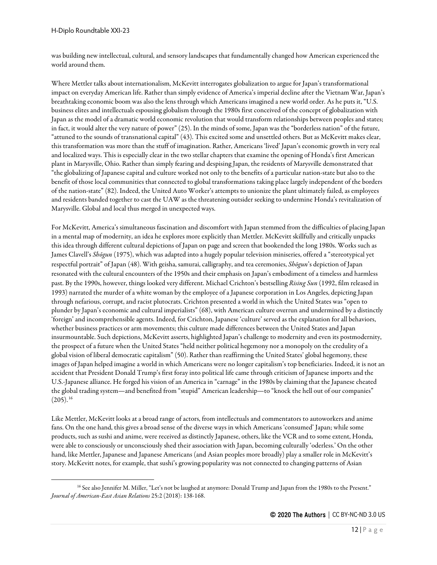was building new intellectual, cultural, and sensory landscapes that fundamentally changed how American experienced the world around them.

Where Mettler talks about internationalism, McKevitt interrogates globalization to argue for Japan's transformational impact on everyday American life. Rather than simply evidence of America's imperial decline after the Vietnam War, Japan's breathtaking economic boom was also the lens through which Americans imagined a new world order. As he puts it, "U.S. business elites and intellectuals espousing globalism through the 1980s first conceived of the concept of globalization with Japan as the model of a dramatic world economic revolution that would transform relationships between peoples and states; in fact, it would alter the very nature of power" (25). In the minds of some, Japan was the "borderless nation" of the future, "attuned to the sounds of transnational capital" (43). This excited some and unsettled others. But as McKevitt makes clear, this transformation was more than the stuff of imagination. Rather, Americans 'lived' Japan's economic growth in very real and localized ways. This is especially clear in the two stellar chapters that examine the opening of Honda's first American plant in Marysville, Ohio. Rather than simply fearing and despising Japan, the residents of Marysville demonstrated that "the globalizing of Japanese capital and culture worked not only to the benefits of a particular nation-state but also to the benefit of those local communities that connected to global transformations taking place largely independent of the borders of the nation-state" (82). Indeed, the United Auto Worker's attempts to unionize the plant ultimately failed, as employees and residents banded together to cast the UAW as the threatening outsider seeking to undermine Honda's revitalization of Marysville. Global and local thus merged in unexpected ways.

For McKevitt, America's simultaneous fascination and discomfort with Japan stemmed from the difficulties of placing Japan in a mental map of modernity, an idea he explores more explicitly than Mettler. McKevitt skillfully and critically unpacks this idea through different cultural depictions of Japan on page and screen that bookended the long 1980s. Works such as James Clavell's *Shōgun* (1975), which was adapted into a hugely popular television miniseries, offered a "stereotypical yet respectful portrait" of Japan (48). With geisha, samurai, calligraphy, and tea ceremonies, *Shōgun*'s depiction of Japan resonated with the cultural encounters of the 1950s and their emphasis on Japan's embodiment of a timeless and harmless past. By the 1990s, however, things looked very different. Michael Crichton's bestselling *Rising Sun* (1992, film released in 1993) narrated the murder of a white woman by the employee of a Japanese corporation in Los Angeles, depicting Japan through nefarious, corrupt, and racist plutocrats. Crichton presented a world in which the United States was "open to plunder by Japan's economic and cultural imperialists" (68), with American culture overrun and undermined by a distinctly 'foreign' and incomprehensible agents. Indeed, for Crichton, Japanese 'culture' served as the explanation for all behaviors, whether business practices or arm movements; this culture made differences between the United States and Japan insurmountable. Such depictions, McKevitt asserts, highlighted Japan's challenge to modernity and even its postmodernity, the prospect of a future when the United States "held neither political hegemony nor a monopoly on the credulity of a global vision of liberal democratic capitalism" (50). Rather than reaffirming the United States' global hegemony, these images of Japan helped imagine a world in which Americans were no longer capitalism's top beneficiaries. Indeed, it is not an accident that President Donald Trump's first foray into political life came through criticism of Japanese imports and the U.S.-Japanese alliance. He forged his vision of an America in "carnage" in the 1980s by claiming that the Japanese cheated the global trading system—and benefited from "stupid" American leadership—to "knock the hell out of our companies"  $(205).^{16}$  $(205).^{16}$  $(205).^{16}$ 

Like Mettler, McKevitt looks at a broad range of actors, from intellectuals and commentators to autoworkers and anime fans. On the one hand, this gives a broad sense of the diverse ways in which Americans 'consumed' Japan; while some products, such as sushi and anime, were received as distinctly Japanese, others, like the VCR and to some extent, Honda, were able to consciously or unconsciously shed their association with Japan, becoming culturally 'oderless.' On the other hand, like Mettler, Japanese and Japanese Americans (and Asian peoples more broadly) play a smaller role in McKevitt's story. McKevitt notes, for example, that sushi's growing popularity was not connected to changing patterns of Asian

<span id="page-11-0"></span><sup>&</sup>lt;sup>16</sup> See also Jennifer M. Miller, "Let's not be laughed at anymore: Donald Trump and Japan from the 1980s to the Present." *Journal of American-East Asian Relations* 25:2 (2018): 138-168.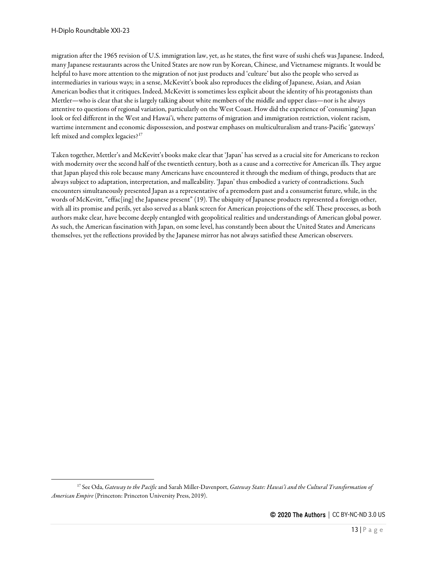migration after the 1965 revision of U.S. immigration law, yet, as he states, the first wave of sushi chefs was Japanese. Indeed, many Japanese restaurants across the United States are now run by Korean, Chinese, and Vietnamese migrants. It would be helpful to have more attention to the migration of not just products and 'culture' but also the people who served as intermediaries in various ways; in a sense, McKevitt's book also reproduces the eliding of Japanese, Asian, and Asian American bodies that it critiques. Indeed, McKevitt is sometimes less explicit about the identity of his protagonists than Mettler—who is clear that she is largely talking about white members of the middle and upper class—nor is he always attentive to questions of regional variation, particularly on the West Coast. How did the experience of 'consuming' Japan look or feel different in the West and Hawai'i, where patterns of migration and immigration restriction, violent racism, wartime internment and economic dispossession, and postwar emphases on multiculturalism and trans-Pacific 'gateways' left mixed and complex legacies?<sup>[17](#page-12-0)</sup>

Taken together, Mettler's and McKevitt's books make clear that 'Japan' has served as a crucial site for Americans to reckon with modernity over the second half of the twentieth century, both as a cause and a corrective for American ills. They argue that Japan played this role because many Americans have encountered it through the medium of things, products that are always subject to adaptation, interpretation, and malleability. 'Japan' thus embodied a variety of contradictions. Such encounters simultaneously presented Japan as a representative of a premodern past and a consumerist future, while, in the words of McKevitt, "effac[ing] the Japanese present" (19). The ubiquity of Japanese products represented a foreign other, with all its promise and perils, yet also served as a blank screen for American projections of the self. These processes, as both authors make clear, have become deeply entangled with geopolitical realities and understandings of American global power. As such, the American fascination with Japan, on some level, has constantly been about the United States and Americans themselves, yet the reflections provided by the Japanese mirror has not always satisfied these American observers.

<span id="page-12-0"></span><sup>17</sup> See Oda, *Gateway to the Pacific*and Sarah Miller-Davenport, *Gateway State: Hawai'i and the Cultural Transformation of American Empire* (Princeton: Princeton University Press, 2019).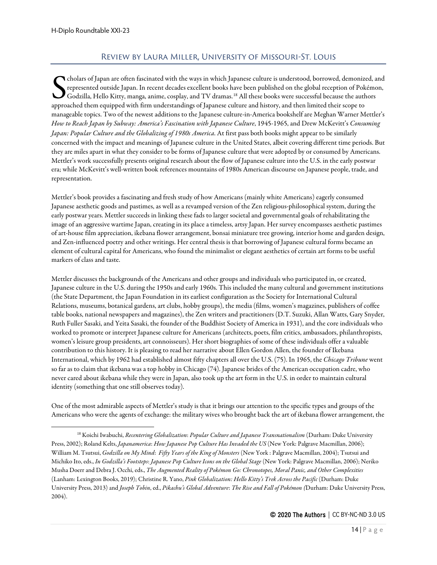## Review by Laura Miller, University of Missouri-St. Louis

<span id="page-13-0"></span>cholars of Japan are often fascinated with the ways in which Japanese culture is understood, borrowed, demonized, and represented outside Japan. In recent decades excellent books have been published on the global reception of Pokémon,  $\blacktriangleright$  Godzilla, Hello Kitty, manga, anime, cosplay, and TV dramas. $^{18}$  $^{18}$  $^{18}$  All these books were successful because the authors Colars of Japan are often fascinated with the ways in which Japanese culture is understood, borrowed, demonized represented outside Japan. In recent decades excellent books have been published on the global reception of Po manageable topics. Two of the newest additions to the Japanese culture-in-America bookshelf are Meghan Warner Mettler's *How to Reach Japan by Subway: America's Fascination with Japanese Culture*, 1945-1965, and Drew McKevitt's *Consuming Japan: Popular Culture and the Globalizing of 1980s America*. At first pass both books might appear to be similarly concerned with the impact and meanings of Japanese culture in the United States, albeit covering different time periods. But they are miles apart in what they consider to be forms of Japanese culture that were adopted by or consumed by Americans. Mettler's work successfully presents original research about the flow of Japanese culture into the U.S. in the early postwar era; while McKevitt's well-written book references mountains of 1980s American discourse on Japanese people, trade, and representation.

Mettler's book provides a fascinating and fresh study of how Americans (mainly white Americans) eagerly consumed Japanese aesthetic goods and pastimes, as well as a revamped version of the Zen religious-philosophical system, during the early postwar years. Mettler succeeds in linking these fads to larger societal and governmental goals of rehabilitating the image of an aggressive wartime Japan, creating in its place a timeless, artsy Japan. Her survey encompasses aesthetic pastimes of art-house film appreciation, ikebana flower arrangement, bonsai miniature tree growing, interior home and garden design, and Zen-influenced poetry and other writings. Her central thesis is that borrowing of Japanese cultural forms became an element of cultural capital for Americans, who found the minimalist or elegant aesthetics of certain art forms to be useful markers of class and taste.

Mettler discusses the backgrounds of the Americans and other groups and individuals who participated in, or created, Japanese culture in the U.S. during the 1950s and early 1960s. This included the many cultural and government institutions (the State Department, the Japan Foundation in its earliest configuration as the Society for International Cultural Relations, museums, botanical gardens, art clubs, hobby groups), the media (films, women's magazines, publishers of coffee table books, national newspapers and magazines), the Zen writers and practitioners (D.T. Suzuki, Allan Watts, Gary Snyder, Ruth Fuller Sasaki, and Yeita Sasaki, the founder of the Buddhist Society of America in 1931), and the core individuals who worked to promote or interpret Japanese culture for Americans (architects, poets, film critics, ambassadors, philanthropists, women's leisure group presidents, art connoisseurs). Her short biographies of some of these individuals offer a valuable contribution to this history. It is pleasing to read her narrative about Ellen Gordon Allen, the founder of Ikebana International, which by 1962 had established almost fifty chapters all over the U.S. (75). In 1965, the *Chicago Tribune* went so far as to claim that ikebana was a top hobby in Chicago (74). Japanese brides of the American occupation cadre, who never cared about ikebana while they were in Japan, also took up the art form in the U.S. in order to maintain cultural identity (something that one still observes today).

One of the most admirable aspects of Mettler's study is that it brings our attention to the specific types and groups of the Americans who were the agents of exchange: the military wives who brought back the art of ikebana flower arrangement, the

<span id="page-13-1"></span><sup>18</sup> Koichi Iwabuchi, *Recentering Globalization*: *Popular Culture and Japanese Transnationalism* (Durham: Duke University Press, 2002); Roland Kelts, *Japanamerica*: *How Japanese Pop Culture Has Invaded the US* (New York: Palgrave Macmillan, 2006); William M. Tsutsui, *Godzilla on My Mind*: *Fifty Years of the King of Monsters* (New York : Palgrave Macmillan, 2004); Tsutsui and Michiko Ito, eds., *In Godzilla's Footsteps*: *Japanese Pop Culture Icons on the Global Stage* (New York: Palgrave Macmillan, 2006); Neriko Musha Doerr and Debra J. Occhi, eds., *The Augmented Reality of Pokémon Go: Chronotopes, Moral Panic, and Other Complexities* (Lanham: Lexington Books, 2019); Christine R. Yano, *Pink Globalization: Hello Kitty's Trek Across the Pacific* (Durham: Duke University Press, 2013) and *Joseph Tobin*, ed., *Pikachu's Global Adventure*: *The Rise and Fall of Pokémon (*Durham: Duke University Press, 2004).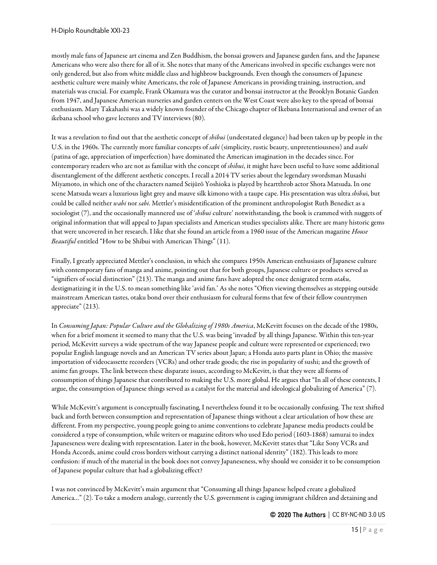mostly male fans of Japanese art cinema and Zen Buddhism, the bonsai growers and Japanese garden fans, and the Japanese Americans who were also there for all of it. She notes that many of the Americans involved in specific exchanges were not only gendered, but also from white middle class and highbrow backgrounds. Even though the consumers of Japanese aesthetic culture were mainly white Americans, the role of Japanese Americans in providing training, instruction, and materials was crucial. For example, Frank Okamura was the curator and bonsai instructor at the Brooklyn Botanic Garden from 1947, and Japanese American nurseries and garden centers on the West Coast were also key to the spread of bonsai enthusiasm. Mary Takahashi was a widely known founder of the Chicago chapter of Ikebana International and owner of an ikebana school who gave lectures and TV interviews (80).

It was a revelation to find out that the aesthetic concept of *shibui* (understated elegance) had been taken up by people in the U.S. in the 1960s. The currently more familiar concepts of *sabi* (simplicity, rustic beauty, unpretentiousness) and *wabi* (patina of age, appreciation of imperfection) have dominated the American imagination in the decades since. For contemporary readers who are not as familiar with the concept of *shibui*, it might have been useful to have some additional disentanglement of the different aesthetic concepts. I recall a 2014 TV series about the legendary swordsman Musashi Miyamoto, in which one of the characters named Seijūrō Yoshioka is played by heartthrob actor Shota Matsuda. In one scene Matsuda wears a luxurious light grey and mauve silk kimono with a taupe cape. His presentation was ultra *shibu*i, but could be called neither *wabi* nor *sabi*. Mettler's misidentification of the prominent anthropologist Ruth Benedict as a sociologist (7), and the occasionally mannered use of '*shibui* culture' notwithstanding, the book is crammed with nuggets of original information that will appeal to Japan specialists and American studies specialists alike. There are many historic gems that were uncovered in her research. I like that she found an article from a 1960 issue of the American magazine *House Beautiful* entitled "How to be Shibui with American Things" (11).

Finally, I greatly appreciated Mettler's conclusion, in which she compares 1950s American enthusiasts of Japanese culture with contemporary fans of manga and anime, pointing out that for both groups, Japanese culture or products served as "signifiers of social distinction" (213). The manga and anime fans have adopted the once denigrated term *otaku*, destigmatizing it in the U.S. to mean something like 'avid fan.' As she notes "Often viewing themselves as stepping outside mainstream American tastes, otaku bond over their enthusiasm for cultural forms that few of their fellow countrymen appreciate" (213).

In *Consuming Japan: Popular Culture and the Globalizing of 1980s America*, McKevitt focuses on the decade of the 1980s, when for a brief moment it seemed to many that the U.S. was being 'invaded' by all things Japanese. Within this ten-year period, McKevitt surveys a wide spectrum of the way Japanese people and culture were represented or experienced; two popular English language novels and an American TV series about Japan; a Honda auto parts plant in Ohio; the massive importation of videocassette recorders (VCRs) and other trade goods; the rise in popularity of sushi; and the growth of anime fan groups. The link between these disparate issues, according to McKevitt, is that they were all forms of consumption of things Japanese that contributed to making the U.S. more global. He argues that "In all of these contexts, I argue, the consumption of Japanese things served as a catalyst for the material and ideological globalizing of America" (7).

While McKevitt's argument is conceptually fascinating, I nevertheless found it to be occasionally confusing. The text shifted back and forth between consumption and representation of Japanese things without a clear articulation of how these are different. From my perspective, young people going to anime conventions to celebrate Japanese media products could be considered a type of consumption, while writers or magazine editors who used Edo period (1603-1868) samurai to index Japaneseness were dealing with representation. Later in the book, however, McKevitt states that "Like Sony VCRs and Honda Accords, anime could cross borders without carrying a distinct national identity" (182). This leads to more confusion: if much of the material in the book does not convey Japaneseness, why should we consider it to be consumption of Japanese popular culture that had a globalizing effect?

I was not convinced by McKevitt's main argument that "Consuming all things Japanese helped create a globalized America…" (2). To take a modern analogy, currently the U.S. government is caging immigrant children and detaining and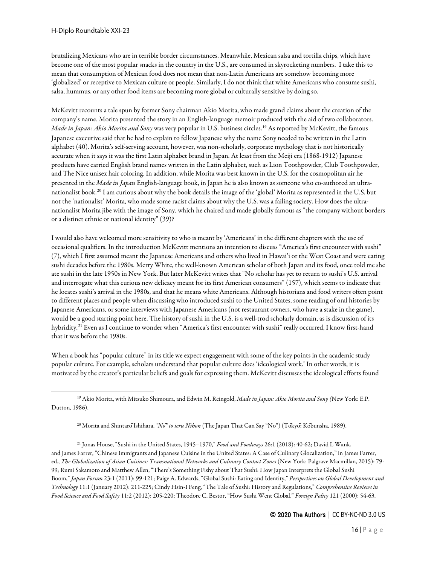brutalizing Mexicans who are in terrible border circumstances. Meanwhile, Mexican salsa and tortilla chips, which have become one of the most popular snacks in the country in the U.S., are consumed in skyrocketing numbers. I take this to mean that consumption of Mexican food does not mean that non-Latin Americans are somehow becoming more 'globalized' or receptive to Mexican culture or people. Similarly, I do not think that white Americans who consume sushi, salsa, hummus, or any other food items are becoming more global or culturally sensitive by doing so.

McKevitt recounts a tale spun by former Sony chairman Akio Morita, who made grand claims about the creation of the company's name. Morita presented the story in an English-language memoir produced with the aid of two collaborators. *Made in Japan: Akio Morita and Sony* was very popular in U.S. business circles.[19](#page-15-0) As reported by McKevitt, the famous Japanese executive said that he had to explain to fellow Japanese why the name Sony needed to be written in the Latin alphabet (40). Morita's self-serving account, however, was non-scholarly, corporate mythology that is not historically accurate when it says it was the first Latin alphabet brand in Japan. At least from the Meiji era (1868-1912) Japanese products have carried English brand names written in the Latin alphabet, such as Lion Toothpowder, Club Toothpowder, and The Nice unisex hair coloring. In addition, while Morita was best known in the U.S. for the cosmopolitan air he presented in the *Made in Japan* English-language book, in Japan he is also known as someone who co-authored an ultranationalist book.[20](#page-15-1) I am curious about why the book details the image of the 'global' Morita as represented in the U.S. but not the 'nationalist' Morita, who made some racist claims about why the U.S. was a failing society. How does the ultranationalist Morita jibe with the image of Sony, which he chaired and made globally famous as "the company without borders or a distinct ethnic or national identity" (39)?

I would also have welcomed more sensitivity to who is meant by 'Americans' in the different chapters with the use of occasional qualifiers. In the introduction McKevitt mentions an intention to discuss "America's first encounter with sushi" (7), which I first assumed meant the Japanese Americans and others who lived in Hawai'i or the West Coast and were eating sushi decades before the 1980s. Merry White, the well-known American scholar of both Japan and its food, once told me she ate sushi in the late 1950s in New York. But later McKevitt writes that "No scholar has yet to return to sushi's U.S. arrival and interrogate what this curious new delicacy meant for its first American consumers" (157), which seems to indicate that he locates sushi's arrival in the 1980s, and that he means white Americans. Although historians and food writers often point to different places and people when discussing who introduced sushi to the United States, some reading of oral histories by Japanese Americans, or some interviews with Japanese Americans (not restaurant owners, who have a stake in the game), would be a good starting point here. The history of sushi in the U.S. is a well-trod scholarly domain, as is discussion of its hybridity.[21](#page-15-2) Even as I continue to wonder when "America's first encounter with sushi" really occurred, I know first-hand that it was before the 1980s.

When a book has "popular culture" in its title we expect engagement with some of the key points in the academic study popular culture. For example, scholars understand that popular culture does 'ideological work.' In other words, it is motivated by the creator's particular beliefs and goals for expressing them. McKevitt discusses the ideological efforts found

<span id="page-15-2"></span><span id="page-15-1"></span><sup>21</sup> Jonas House, "Sushi in the United States, 1945–1970," *Food and Foodways* 26:1 (2018): 40-62; David L Wank, and James Farrer, "Chinese Immigrants and Japanese Cuisine in the United States: A Case of Culinary Glocalization," in James Farrer, ed., *The Globalization of Asian Cuisines: Transnational Networks and Culinary Contact Zones* (New York: Palgrave Macmillan, 2015): 79- 99; Rumi Sakamoto and Matthew Allen, "There's Something Fishy about That Sushi: How Japan Interprets the Global Sushi Boom," *Japan Forum* 23:1 (2011): 99-121; Paige A. Edwards, "Global Sushi: Eating and Identity," *Perspectives on Global Development and Technology* 11:1 (January 2012): 211-225; Cindy Hsin-I Feng, "The Tale of Sushi: History and Regulations," *Comprehensive Reviews in Food Science and Food Safety* 11:2 (2012): 205-220; Theodore C. Bestor, "How Sushi Went Global," *Foreign Policy* 121 (2000): 54-63.

<span id="page-15-0"></span><sup>19</sup> Akio Morita, with Mitsuko Shimoura, and Edwin M. Reingold, *Made in Japan: Akio Morita and Sony (*New York: E.P. Dutton, 1986).

<sup>20</sup> Morita and ShintarōIshihara, *"Nō" to ieru Nihon* (The Japan That Can Say "No") (Tōkyō: Kōbunsha, 1989).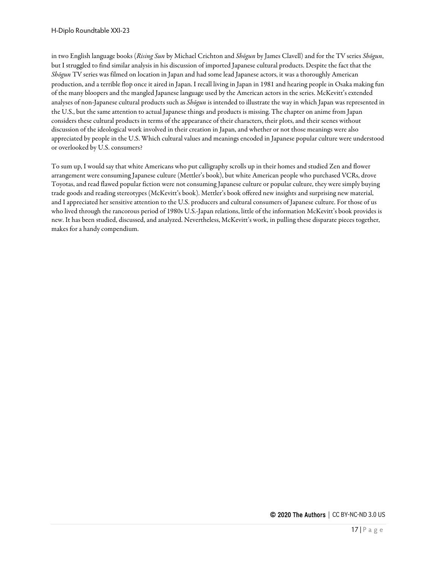in two English language books (*Rising Sun* by Michael Crichton and *Shōgun* by James Clavell) and for the TV series *Shōgun*, but I struggled to find similar analysis in his discussion of imported Japanese cultural products. Despite the fact that the *Shōgun* TV series was filmed on location in Japan and had some lead Japanese actors, it was a thoroughly American production, and a terrible flop once it aired in Japan. I recall living in Japan in 1981 and hearing people in Osaka making fun of the many bloopers and the mangled Japanese language used by the American actors in the series. McKevitt's extended analyses of non-Japanese cultural products such as *Shōgun* is intended to illustrate the way in which Japan was represented in the U.S., but the same attention to actual Japanese things and products is missing. The chapter on anime from Japan considers these cultural products in terms of the appearance of their characters, their plots, and their scenes without discussion of the ideological work involved in their creation in Japan, and whether or not those meanings were also appreciated by people in the U.S. Which cultural values and meanings encoded in Japanese popular culture were understood or overlooked by U.S. consumers?

To sum up, I would say that white Americans who put calligraphy scrolls up in their homes and studied Zen and flower arrangement were consuming Japanese culture (Mettler's book), but white American people who purchased VCRs, drove Toyotas, and read flawed popular fiction were not consuming Japanese culture or popular culture, they were simply buying trade goods and reading stereotypes (McKevitt's book). Mettler's book offered new insights and surprising new material, and I appreciated her sensitive attention to the U.S. producers and cultural consumers of Japanese culture. For those of us who lived through the rancorous period of 1980s U.S.-Japan relations, little of the information McKevitt's book provides is new. It has been studied, discussed, and analyzed. Nevertheless, McKevitt's work, in pulling these disparate pieces together, makes for a handy compendium.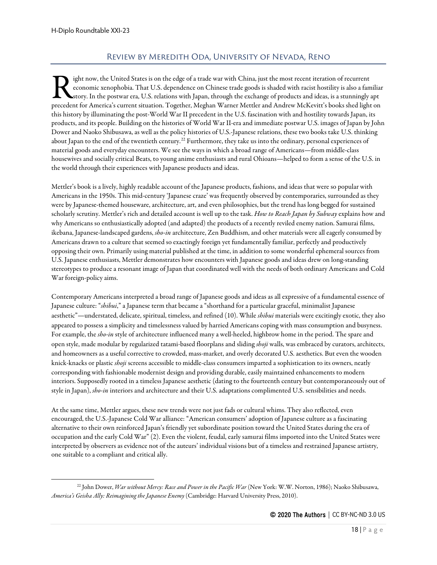# Review by Meredith Oda, University of Nevada, Reno

<span id="page-17-0"></span>ight now, the United States is on the edge of a trade war with China, just the most recent iteration of recurrent economic xenophobia. That U.S. dependence on Chinese trade goods is shaded with racist hostility is also a familiar story. In the postwar era, U.S. relations with Japan, through the exchange of products and ideas, is a stunningly apt precedent for America's current situation. Together, Meghan Warner Mettler and Andrew McKevitt's books shed light on precedent for America's current situation. Together, Meghan Warner Mettler and Andrew McKevitt's books sh this history by illuminating the post-World War II precedent in the U.S. fascination with and hostility towards Japan, its products, and its people. Building on the histories of World War II-era and immediate postwar U.S. images of Japan by John Dower and Naoko Shibusawa, as well as the policy histories of U.S.-Japanese relations, these two books take U.S. thinking about Japan to the end of the twentieth century.<sup>[22](#page-17-1)</sup> Furthermore, they take us into the ordinary, personal experiences of material goods and everyday encounters. We see the ways in which a broad range of Americans—from middle-class housewives and socially critical Beats, to young anime enthusiasts and rural Ohioans—helped to form a sense of the U.S. in the world through their experiences with Japanese products and ideas.

Mettler's book is a lively, highly readable account of the Japanese products, fashions, and ideas that were so popular with Americans in the 1950s. This mid-century 'Japanese craze' was frequently observed by contemporaries, surrounded as they were by Japanese-themed houseware, architecture, art, and even philosophies, but the trend has long begged for sustained scholarly scrutiny. Mettler's rich and detailed account is well up to the task. *How to Reach Japan by Subway* explains how and why Americans so enthusiastically adopted (and adapted) the products of a recently reviled enemy nation. Samurai films, ikebana, Japanese-landscaped gardens, *sho-in* architecture, Zen Buddhism, and other materials were all eagerly consumed by Americans drawn to a culture that seemed so exactingly foreign yet fundamentally familiar, perfectly and productively opposing their own. Primarily using material published at the time, in addition to some wonderful ephemeral sources from U.S. Japanese enthusiasts, Mettler demonstrates how encounters with Japanese goods and ideas drew on long-standing stereotypes to produce a resonant image of Japan that coordinated well with the needs of both ordinary Americans and Cold War foreign-policy aims.

Contemporary Americans interpreted a broad range of Japanese goods and ideas as all expressive of a fundamental essence of Japanese culture: "*shibui*," a Japanese term that became a "shorthand for a particular graceful, minimalist Japanese aesthetic"—understated, delicate, spiritual, timeless, and refined (10). While *shibui* materials were excitingly exotic, they also appeared to possess a simplicity and timelessness valued by harried Americans coping with mass consumption and busyness. For example, the *sho-in* style of architecture influenced many a well-heeled, highbrow home in the period. The spare and open style, made modular by regularized tatami-based floorplans and sliding *shoji* walls, was embraced by curators, architects, and homeowners as a useful corrective to crowded, mass-market, and overly decorated U.S. aesthetics. But even the wooden knick-knacks or plastic *shoji* screens accessible to middle-class consumers imparted a sophistication to its owners, neatly corresponding with fashionable modernist design and providing durable, easily maintained enhancements to modern interiors. Supposedly rooted in a timeless Japanese aesthetic (dating to the fourteenth century but contemporaneously out of style in Japan), *sho-in* interiors and architecture and their U.S. adaptations complimented U.S. sensibilities and needs.

At the same time, Mettler argues, these new trends were not just fads or cultural whims. They also reflected, even encouraged, the U.S.-Japanese Cold War alliance: "American consumers' adoption of Japanese culture as a fascinating alternative to their own reinforced Japan's friendly yet subordinate position toward the United States during the era of occupation and the early Cold War" (2). Even the violent, feudal, early samurai films imported into the United States were interpreted by observers as evidence not of the auteurs' individual visions but of a timeless and restrained Japanese artistry, one suitable to a compliant and critical ally.

<span id="page-17-1"></span><sup>22</sup> John Dower, *War without Mercy: Race and Power in the Pacific War* (New York: W.W. Norton, 1986); Naoko Shibusawa, *America's Geisha Ally: Reimagining the Japanese Enemy* (Cambridge: Harvard University Press, 2010).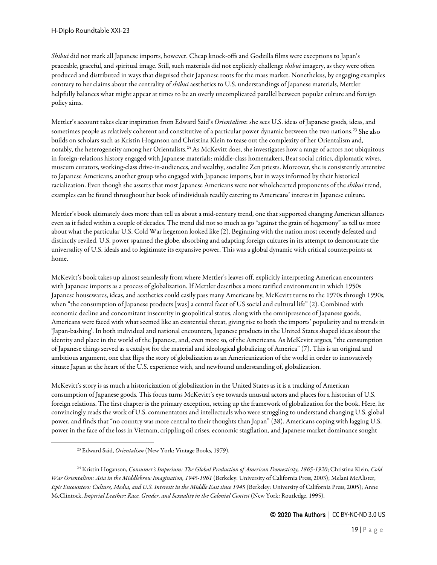*Shibui* did not mark all Japanese imports, however. Cheap knock-offs and Godzilla films were exceptions to Japan's peaceable, graceful, and spiritual image. Still, such materials did not explicitly challenge *shibui* imagery, as they were often produced and distributed in ways that disguised their Japanese roots for the mass market. Nonetheless, by engaging examples contrary to her claims about the centrality of *shibui* aesthetics to U.S. understandings of Japanese materials, Mettler helpfully balances what might appear at times to be an overly uncomplicated parallel between popular culture and foreign policy aims.

Mettler's account takes clear inspiration from Edward Said's *Orientalism*: she sees U.S. ideas of Japanese goods, ideas, and sometimes people as relatively coherent and constitutive of a particular power dynamic between the two nations.[23](#page-18-0) She also builds on scholars such as Kristin Hoganson and Christina Klein to tease out the complexity of her Orientalism and, notably, the heterogeneity among her Orientalists.<sup>[24](#page-18-1)</sup> As McKevitt does, she investigates how a range of actors not ubiquitous in foreign-relations history engaged with Japanese materials: middle-class homemakers, Beat social critics, diplomatic wives, museum curators, working-class drive-in-audiences, and wealthy, socialite Zen priests. Moreover, she is consistently attentive to Japanese Americans, another group who engaged with Japanese imports, but in ways informed by their historical racialization. Even though she asserts that most Japanese Americans were not wholehearted proponents of the *shibui* trend, examples can be found throughout her book of individuals readily catering to Americans' interest in Japanese culture.

Mettler's book ultimately does more than tell us about a mid-century trend, one that supported changing American alliances even as it faded within a couple of decades. The trend did not so much as go "against the grain of hegemony" as tell us more about what the particular U.S. Cold War hegemon looked like (2). Beginning with the nation most recently defeated and distinctly reviled, U.S. power spanned the globe, absorbing and adapting foreign cultures in its attempt to demonstrate the universality of U.S. ideals and to legitimate its expansive power. This was a global dynamic with critical counterpoints at home.

McKevitt's book takes up almost seamlessly from where Mettler's leaves off, explicitly interpreting American encounters with Japanese imports as a process of globalization. If Mettler describes a more rarified environment in which 1950s Japanese housewares, ideas, and aesthetics could easily pass many Americans by, McKevitt turns to the 1970s through 1990s, when "the consumption of Japanese products [was] a central facet of US social and cultural life" (2). Combined with economic decline and concomitant insecurity in geopolitical status, along with the omnipresence of Japanese goods, Americans were faced with what seemed like an existential threat, giving rise to both the imports' popularity and to trends in 'Japan-bashing'. In both individual and national encounters, Japanese products in the United States shaped ideas about the identity and place in the world of the Japanese, and, even more so, of the Americans. As McKevitt argues, "the consumption of Japanese things served as a catalyst for the material and ideological globalizing of America" (7). This is an original and ambitious argument, one that flips the story of globalization as an Americanization of the world in order to innovatively situate Japan at the heart of the U.S. experience with, and newfound understanding of, globalization.

McKevitt's story is as much a historicization of globalization in the United States as it is a tracking of American consumption of Japanese goods. This focus turns McKevitt's eye towards unusual actors and places for a historian of U.S. foreign relations. The first chapter is the primary exception, setting up the framework of globalization for the book. Here, he convincingly reads the work of U.S. commentators and intellectuals who were struggling to understand changing U.S. global power, and finds that "no country was more central to their thoughts than Japan" (38). Americans coping with lagging U.S. power in the face of the loss in Vietnam, crippling oil crises, economic stagflation, and Japanese market dominance sought

<span id="page-18-1"></span><span id="page-18-0"></span><sup>24</sup> Kristin Hoganson, *Consumer's Imperium: The Global Production of American Domesticity, 1865-1920*; Christina Klein, *Cold War Orientalism: Asia in the Middlebrow Imagination, 1945-1961* (Berkeley: University of California Press, 2003); Melani McAlister, *Epic Encounters: Culture, Media, and U.S. Interests in the Middle East since 1945* (Berkeley: University of California Press, 2005); Anne McClintock, *Imperial Leather: Race, Gender, and Sexuality in the Colonial Contest* (New York: Routledge, 1995).

<sup>23</sup> Edward Said, *Orientalism* (New York: Vintage Books, 1979).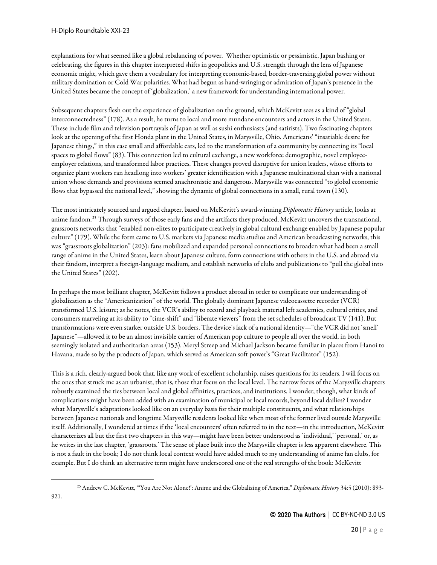<span id="page-19-0"></span>921.

explanations for what seemed like a global rebalancing of power. Whether optimistic or pessimistic, Japan bashing or celebrating, the figures in this chapter interpreted shifts in geopolitics and U.S. strength through the lens of Japanese economic might, which gave them a vocabulary for interpreting economic-based, border-traversing global power without military domination or Cold War polarities. What had begun as hand-wringing or admiration of Japan's presence in the United States became the concept of 'globalization,' a new framework for understanding international power.

Subsequent chapters flesh out the experience of globalization on the ground, which McKevitt sees as a kind of "global interconnectedness" (178). As a result, he turns to local and more mundane encounters and actors in the United States. These include film and television portrayals of Japan as well as sushi enthusiasts (and satirists). Two fascinating chapters look at the opening of the first Honda plant in the United States, in Marysville, Ohio. Americans' "insatiable desire for Japanese things," in this case small and affordable cars, led to the transformation of a community by connecting its "local spaces to global flows" (83). This connection led to cultural exchange, a new workforce demographic, novel employeeemployer relations, and transformed labor practices. These changes proved disruptive for union leaders, whose efforts to organize plant workers ran headlong into workers' greater identification with a Japanese multinational than with a national union whose demands and provisions seemed anachronistic and dangerous. Marysville was connected "to global economic flows that bypassed the national level," showing the dynamic of global connections in a small, rural town (130).

The most intricately sourced and argued chapter, based on McKevitt's award-winning *Diplomatic History* article, looks at anime fandom.<sup>[25](#page-19-0)</sup> Through surveys of those early fans and the artifacts they produced, McKevitt uncovers the transnational, grassroots networks that "enabled non-elites to participate creatively in global cultural exchange enabled by Japanese popular culture" (179). While the form came to U.S. markets via Japanese media studios and American broadcasting networks, this was "grassroots globalization" (203): fans mobilized and expanded personal connections to broaden what had been a small range of anime in the United States, learn about Japanese culture, form connections with others in the U.S. and abroad via their fandom, interpret a foreign-language medium, and establish networks of clubs and publications to "pull the global into the United States" (202).

In perhaps the most brilliant chapter, McKevitt follows a product abroad in order to complicate our understanding of globalization as the "Americanization" of the world. The globally dominant Japanese videocassette recorder (VCR) transformed U.S. leisure; as he notes, the VCR's ability to record and playback material left academics, cultural critics, and consumers marveling at its ability to "time-shift" and "liberate viewers" from the set schedules of broadcast TV (141). But transformations were even starker outside U.S. borders. The device's lack of a national identity—"the VCR did not 'smell' Japanese"—allowed it to be an almost invisible carrier of American pop culture to people all over the world, in both seemingly isolated and authoritarian areas (153). Meryl Streep and Michael Jackson became familiar in places from Hanoi to Havana, made so by the products of Japan, which served as American soft power's "Great Facilitator" (152).

This is a rich, clearly-argued book that, like any work of excellent scholarship, raises questions for its readers. I will focus on the ones that struck me as an urbanist, that is, those that focus on the local level. The narrow focus of the Marysville chapters robustly examined the ties between local and global affinities, practices, and institutions. I wonder, though, what kinds of complications might have been added with an examination of municipal or local records, beyond local dailies? I wonder what Marysville's adaptations looked like on an everyday basis for their multiple constituents, and what relationships between Japanese nationals and longtime Marysville residents looked like when most of the former lived outside Marysville itself. Additionally, I wondered at times if the 'local encounters' often referred to in the text—in the introduction, McKevitt characterizes all but the first two chapters in this way—might have been better understood as 'individual,' 'personal,' or, as he writes in the last chapter, 'grassroots.' The sense of place built into the Marysville chapter is less apparent elsewhere. This is not a fault in the book; I do not think local context would have added much to my understanding of anime fan clubs, for example. But I do think an alternative term might have underscored one of the real strengths of the book: McKevitt

<sup>25</sup> Andrew C. McKevitt, "'You Are Not Alone!': Anime and the Globalizing of America," *Diplomatic History* 34:5 (2010): 893-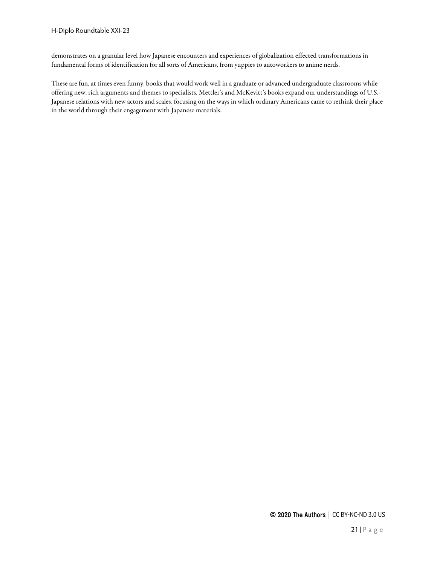demonstrates on a granular level how Japanese encounters and experiences of globalization effected transformations in fundamental forms of identification for all sorts of Americans, from yuppies to autoworkers to anime nerds.

These are fun, at times even funny, books that would work well in a graduate or advanced undergraduate classrooms while offering new, rich arguments and themes to specialists. Mettler's and McKevitt's books expand our understandings of U.S.- Japanese relations with new actors and scales, focusing on the ways in which ordinary Americans came to rethink their place in the world through their engagement with Japanese materials.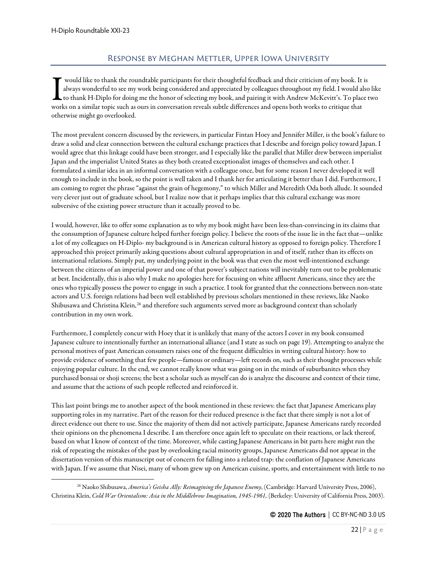# Response by Meghan Mettler, Upper Iowa University

<span id="page-21-0"></span>would like to thank the roundtable participants for their thoughtful feedback and their criticism of my book. It is always wonderful to see my work being considered and appreciated by colleagues throughout my field. I would also like to thank H-Diplo for doing me the honor of selecting my book, and pairing it with Andrew McKevitt's. To place two would like to thank the roundtable participants for their thoughtful feedback and their criticism of my book. It always wonderful to see my work being considered and appreciated by colleagues throughout my field. I would a otherwise might go overlooked.

The most prevalent concern discussed by the reviewers, in particular Fintan Hoey and Jennifer Miller, is the book's failure to draw a solid and clear connection between the cultural exchange practices that I describe and foreign policy toward Japan. I would agree that this linkage could have been stronger, and I especially like the parallel that Miller drew between imperialist Japan and the imperialist United States as they both created exceptionalist images of themselves and each other. I formulated a similar idea in an informal conversation with a colleague once, but for some reason I never developed it well enough to include in the book, so the point is well taken and I thank her for articulating it better than I did. Furthermore, I am coming to regret the phrase "against the grain of hegemony," to which Miller and Meredith Oda both allude. It sounded very clever just out of graduate school, but I realize now that it perhaps implies that this cultural exchange was more subversive of the existing power structure than it actually proved to be.

I would, however, like to offer some explanation as to why my book might have been less-than-convincing in its claims that the consumption of Japanese culture helped further foreign policy. I believe the roots of the issue lie in the fact that—unlike a lot of my colleagues on H-Diplo- my background is in American cultural history as opposed to foreign policy. Therefore I approached this project primarily asking questions about cultural appropriation in and of itself, rather than its effects on international relations. Simply put, my underlying point in the book was that even the most well-intentioned exchange between the citizens of an imperial power and one of that power's subject nations will inevitably turn out to be problematic at best. Incidentally, this is also why I make no apologies here for focusing on white affluent Americans, since they are the ones who typically possess the power to engage in such a practice. I took for granted that the connections between non-state actors and U.S. foreign relations had been well established by previous scholars mentioned in these reviews, like Naoko Shibusawa and Christina Klein,<sup>[26](#page-21-1)</sup> and therefore such arguments served more as background context than scholarly contribution in my own work.

Furthermore, I completely concur with Hoey that it is unlikely that many of the actors I cover in my book consumed Japanese culture to intentionally further an international alliance (and I state as such on page 19). Attempting to analyze the personal motives of past American consumers raises one of the frequent difficulties in writing cultural history: how to provide evidence of something that few people—famous or ordinary—left records on, such as their thought processes while enjoying popular culture. In the end, we cannot really know what was going on in the minds of suburbanites when they purchased bonsai or shoji screens; the best a scholar such as myself can do is analyze the discourse and context of their time, and assume that the actions of such people reflected and reinforced it.

This last point brings me to another aspect of the book mentioned in these reviews: the fact that Japanese Americans play supporting roles in my narrative. Part of the reason for their reduced presence is the fact that there simply is not a lot of direct evidence out there to use. Since the majority of them did not actively participate, Japanese Americans rarely recorded their opinions on the phenomena I describe. I am therefore once again left to speculate on their reactions, or lack thereof, based on what I know of context of the time. Moreover, while casting Japanese Americans in bit parts here might run the risk of repeating the mistakes of the past by overlooking racial minority groups, Japanese Americans did not appear in the dissertation version of this manuscript out of concern for falling into a related trap: the conflation of Japanese Americans with Japan. If we assume that Nisei, many of whom grew up on American cuisine, sports, and entertainment with little to no

<span id="page-21-1"></span><sup>26</sup> Naoko Shibusawa, *America's Geisha Ally: Reimagining the Japanese Enemy*, (Cambridge: Harvard University Press, 2006), Christina Klein, *Cold War Orientalism: Asia in the Middlebrow Imagination, 1945-1961*, (Berkeley: University of California Press, 2003).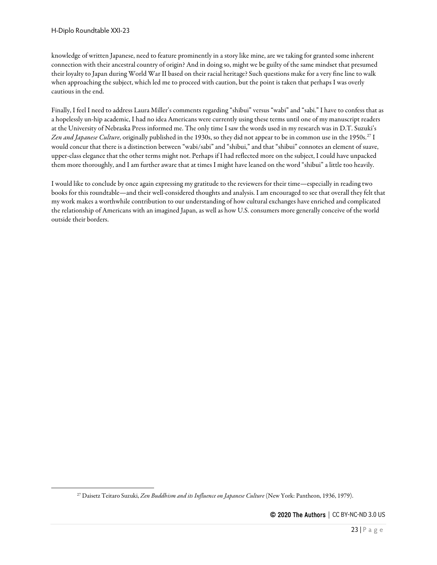knowledge of written Japanese, need to feature prominently in a story like mine, are we taking for granted some inherent connection with their ancestral country of origin? And in doing so, might we be guilty of the same mindset that presumed their loyalty to Japan during World War II based on their racial heritage? Such questions make for a very fine line to walk when approaching the subject, which led me to proceed with caution, but the point is taken that perhaps I was overly cautious in the end.

Finally, I feel I need to address Laura Miller's comments regarding "shibui" versus "wabi" and "sabi." I have to confess that as a hopelessly un-hip academic, I had no idea Americans were currently using these terms until one of my manuscript readers at the University of Nebraska Press informed me. The only time I saw the words used in my research was in D.T. Suzuki's Zen and Japanese Culture, originally published in the 1930s, so they did not appear to be in common use in the 1950s.<sup>[27](#page-22-0)</sup> I would concur that there is a distinction between "wabi/sabi" and "shibui," and that "shibui" connotes an element of suave, upper-class elegance that the other terms might not. Perhaps if I had reflected more on the subject, I could have unpacked them more thoroughly, and I am further aware that at times I might have leaned on the word "shibui" a little too heavily.

I would like to conclude by once again expressing my gratitude to the reviewers for their time—especially in reading two books for this roundtable—and their well-considered thoughts and analysis. I am encouraged to see that overall they felt that my work makes a worthwhile contribution to our understanding of how cultural exchanges have enriched and complicated the relationship of Americans with an imagined Japan, as well as how U.S. consumers more generally conceive of the world outside their borders.

<span id="page-22-0"></span><sup>27</sup> Daisetz Teitaro Suzuki, *Zen Buddhism and its Influence on Japanese Culture* (New York: Pantheon, 1936, 1979).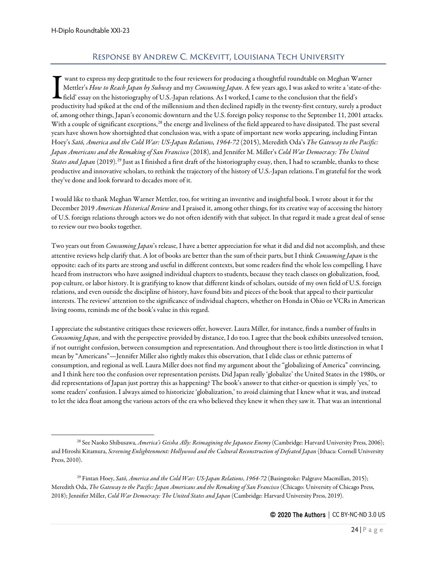# Response by Andrew C. McKevitt, Louisiana Tech University

<span id="page-23-0"></span>want to express my deep gratitude to the four reviewers for producing a thoughtful roundtable on Meghan Warner Mettler's *How to Reach Japan by Subway* and my *Consuming Japan*. A few years ago, I was asked to write a 'state-of-thefield' essay on the historiography of U.S.-Japan relations. As I worked, I came to the conclusion that the field's want to express my deep gratitude to the four reviewers for producing a thoughtful roundtable on Meghan Warner<br>Mettler's How to Reach Japan by Subway and my Consuming Japan. A few years ago, I was asked to write a 'state-o of, among other things, Japan's economic downturn and the U.S. foreign policy response to the September 11, 2001 attacks. With a couple of significant exceptions,<sup>[28](#page-23-1)</sup> the energy and liveliness of the field appeared to have dissipated. The past several years have shown how shortsighted that conclusion was, with a spate of important new works appearing, including Fintan Hoey's *Satō, America and the Cold War: US-Japan Relations, 1964-72* (2015), Meredith Oda's *The Gateway to the Pacific: Japan Americans and the Remaking of San Francisco* (2018), and Jennifer M. Miller's *Cold War Democracy: The United States and Japan* (2019).[29](#page-23-2) Just as I finished a first draft of the historiography essay, then, I had to scramble, thanks to these productive and innovative scholars, to rethink the trajectory of the history of U.S.-Japan relations. I'm grateful for the work they've done and look forward to decades more of it.

I would like to thank Meghan Warner Mettler, too, for writing an inventive and insightful book. I wrote about it for the December 2019 *American Historical Review* and I praised it, among other things, for its creative way of accessing the history of U.S. foreign relations through actors we do not often identify with that subject. In that regard it made a great deal of sense to review our two books together.

Two years out from *Consuming Japan*'s release, I have a better appreciation for what it did and did not accomplish, and these attentive reviews help clarify that. A lot of books are better than the sum of their parts, but I think *Consuming Japan* is the opposite: each of its parts are strong and useful in different contexts, but some readers find the whole less compelling. I have heard from instructors who have assigned individual chapters to students, because they teach classes on globalization, food, pop culture, or labor history. It is gratifying to know that different kinds of scholars, outside of my own field of U.S. foreign relations, and even outside the discipline of history, have found bits and pieces of the book that appeal to their particular interests. The reviews' attention to the significance of individual chapters, whether on Honda in Ohio or VCRs in American living rooms, reminds me of the book's value in this regard.

I appreciate the substantive critiques these reviewers offer, however. Laura Miller, for instance, finds a number of faults in *Consuming Japan*, and with the perspective provided by distance, I do too. I agree that the book exhibits unresolved tension, if not outright confusion, between consumption and representation. And throughout there is too little distinction in what I mean by "Americans"—Jennifer Miller also rightly makes this observation, that I elide class or ethnic patterns of consumption, and regional as well. Laura Miller does not find my argument about the "globalizing of America" convincing, and I think here too the confusion over representation persists. Did Japan really 'globalize' the United States in the 1980s, or did representations of Japan just portray this as happening? The book's answer to that either-or question is simply 'yes,' to some readers' confusion. I always aimed to historicize 'globalization,' to avoid claiming that I knew what it was, and instead to let the idea float among the various actors of the era who believed they knew it when they saw it. That was an intentional

<span id="page-23-1"></span><sup>28</sup> See Naoko Shibusawa, *America's Geisha Ally: Reimagining the Japanese Enemy* (Cambridge: Harvard University Press, 2006); and Hiroshi Kitamura, *Screening Enlightenment: Hollywood and the Cultural Reconstruction of Defeated Japan* (Ithaca: Cornell University Press, 2010).

<span id="page-23-2"></span><sup>29</sup> Fintan Hoey, *Satō, America and the Cold War: US-Japan Relations*, *1964-72* (Basingstoke: Palgrave Macmillan, 2015); Meredith Oda, *The Gateway to the Pacific: Japan Americans and the Remaking of San Francisco* (Chicago: University of Chicago Press, 2018); Jennifer Miller, *Cold War Democracy: The United States and Japan* (Cambridge: Harvard University Press, 2019).